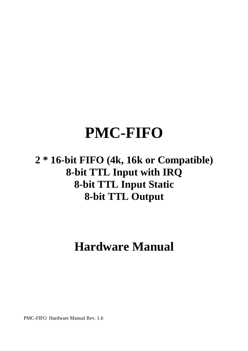## **PMC-FIFO**

## **2 \* 16-bit FIFO (4k, 16k or Compatible) 8-bit TTL Input with IRQ 8-bit TTL Input Static 8-bit TTL Output**

## **Hardware Manual**

PMC-FIFO Hardware Manual Rev. 1.6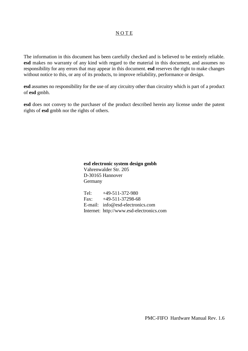#### N O T E

The information in this document has been carefully checked and is believed to be entirely reliable. **esd** makes no warranty of any kind with regard to the material in this document, and assumes no responsibility for any errors that may appear in this document. **esd** reserves the right to make changes without notice to this, or any of its products, to improve reliability, performance or design.

**esd** assumes no responsibility for the use of any circuitry other than circuitry which is part of a product of **esd** gmbh.

**esd** does not convey to the purchaser of the product described herein any license under the patent rights of **esd** gmbh nor the rights of others.

> **esd electronic system design gmbh** Vahrenwalder Str. 205 D-30165 Hannover Germany

Tel: +49-511-372-980  $Fax: +49-511-37298-68$ E-mail: info@esd-electronics.com Internet: http://www.esd-electronics.com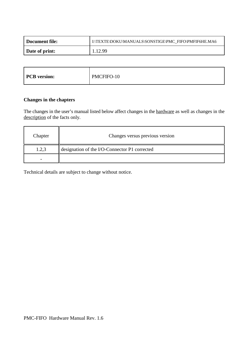| <b>Document file:</b> | I:\TEXTE\DOKU\MANUALS\SONSTIGE\PMC FIFO\PMFIF6HE.MA6 |  |
|-----------------------|------------------------------------------------------|--|
| Date of print:        | 1.12.99                                              |  |

| <b>PCB</b> version: | PMCFIFO-10 |
|---------------------|------------|
|                     |            |

### **Changes in the chapters**

The changes in the user's manual listed below affect changes in the hardware as well as changes in the description of the facts only.

| Chapter | Changes versus previous version               |
|---------|-----------------------------------------------|
| 1.2,3   | designation of the I/O-Connector P1 corrected |
|         |                                               |

Technical details are subject to change without notice.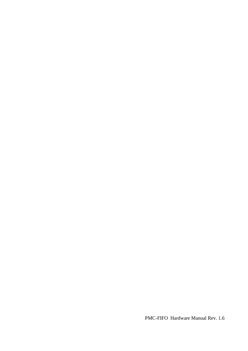PMC-FIFO Hardware Manual Rev. 1.6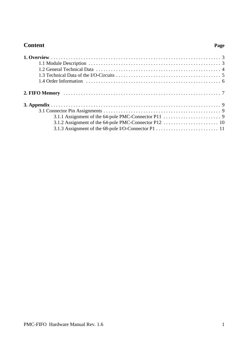## **Content Page**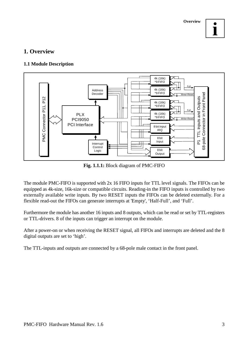**Overview**



### **1. Overview**

### **1.1 Module Description**



**Fig. 1.1.1:** Block diagram of PMC-FIFO

The module PMC-FIFO is supported with 2x 16 FIFO inputs for TTL level signals. The FIFOs can be equipped as 4k-size, 16k-size or compatible circuits. Reading-in the FIFO inputs is controlled by two externally available write inputs. By two RESET inputs the FIFOs can be deleted externally. For a flexible read-out the FIFOs can generate interrupts at 'Empty', 'Half-Full', and 'Full'.

Furthermore the module has another 16 inputs and 8 outputs, which can be read or set by TTL-registers or TTL-drivers. 8 of the inputs can trigger an interrupt on the module.

After a power-on or when receiving the RESET signal, all FIFOs and interrupts are deleted and the 8 digital outputs are set to 'high'.

The TTL-inputs and outputs are connected by a 68-pole male contact in the front panel.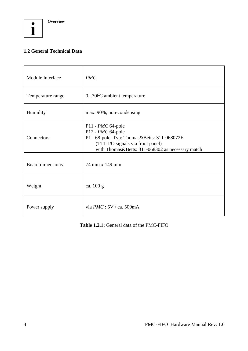| Module Interface  | PMC                                                                                                                                                                                 |
|-------------------|-------------------------------------------------------------------------------------------------------------------------------------------------------------------------------------|
| Temperature range | 070EC ambient temperature                                                                                                                                                           |
| Humidity          | max. 90%, non-condensing                                                                                                                                                            |
| Connectors        | $P11$ - $PMC$ 64-pole<br>P12 - PMC 64-pole<br>P1 - 68-pole, Typ: Thomas&Betts: 311-068072E<br>(TTL-I/O signals via front panel)<br>with Thomas&Betts: 311-068302 as necessary match |
| Board dimensions  | 74 mm x 149 mm                                                                                                                                                                      |
| Weight            | ca. 100 g                                                                                                                                                                           |
| Power supply      | via $PMC$ : 5V / ca. 500mA                                                                                                                                                          |

**Table 1.2.1:** General data of the PMC-FIFO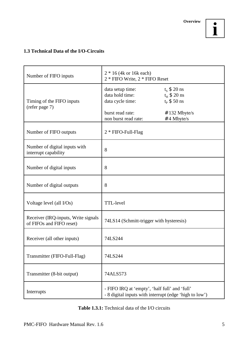

### **1.3 Technical Data of the I/O-Circuits**

| Number of FIFO inputs                                           | $2 * 16$ (4k or 16k each)<br>2 * FIFO Write, 2 * FIFO Reset                                             |                                                                                           |
|-----------------------------------------------------------------|---------------------------------------------------------------------------------------------------------|-------------------------------------------------------------------------------------------|
| Timing of the FIFO inputs<br>(refer page 7)                     | data setup time:<br>data hold time:<br>data cycle time:<br>burst read rate:<br>non burst read rate:     | $t_s$ \$ 20 ns<br>$t_H$ \$ 20 ns<br>$t_{\rm p}$ \$ 50 ns<br>$# 132$ Mbyte/s<br>#4 Mbyte/s |
| Number of FIFO outputs                                          | 2 * FIFO-Full-Flag                                                                                      |                                                                                           |
| Number of digital inputs with<br>interrupt capability           | 8                                                                                                       |                                                                                           |
| Number of digital inputs                                        | 8                                                                                                       |                                                                                           |
| Number of digital outputs                                       | 8                                                                                                       |                                                                                           |
| Voltage level (all I/Os)                                        | TTL-level                                                                                               |                                                                                           |
| Receiver (IRQ-inputs, Write signals<br>of FIFOs and FIFO reset) | 74LS14 (Schmitt-trigger with hysteresis)                                                                |                                                                                           |
| Receiver (all other inputs)                                     | 74LS244                                                                                                 |                                                                                           |
| Transmitter (FIFO-Full-Flag)                                    | 74LS244                                                                                                 |                                                                                           |
| Transmitter (8-bit output)                                      | 74ALS573                                                                                                |                                                                                           |
| Interrupts                                                      | - FIFO IRQ at 'empty', 'half full' and 'full'<br>- 8 digital inputs with interrupt (edge 'high to low') |                                                                                           |

| <b>Table 1.3.1:</b> Technical data of the I/O circuits |  |  |
|--------------------------------------------------------|--|--|
|--------------------------------------------------------|--|--|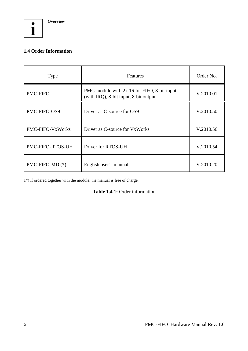

### **1.4 Order Information**

| <b>Type</b>      | Features                                                                             | Order No. |
|------------------|--------------------------------------------------------------------------------------|-----------|
| PMC-FIFO         | PMC-module with 2x 16-bit FIFO, 8-bit input<br>(with IRQ), 8-bit input, 8-bit output | V.2010.01 |
| PMC-FIFO-OS9     | Driver as C-source for OS9                                                           | V.2010.50 |
| PMC-FIFO-VxWorks | Driver as C-source for VxWorks                                                       | V.2010.56 |
| PMC-FIFO-RTOS-UH | Driver for RTOS-UH                                                                   | V.2010.54 |
| PMC-FIFO-MD (*)  | English user's manual                                                                | V.2010.20 |

1\*) If ordered together with the module, the manual is free of charge.

| <b>Table 1.4.1:</b> Order information |  |
|---------------------------------------|--|
|---------------------------------------|--|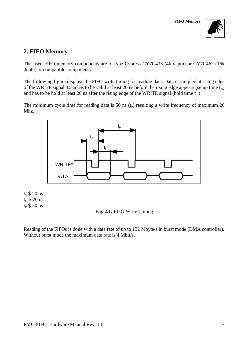

### **2. FIFO Memory**

The used FIFO memory components are of type Cypress CY7C433 (4k depth) or CY7C462 (16k depth) or compatible components.

The following figure displays the FIFO-write timing for reading data. Data is sampled at rising edge of the WRITE signal. Data has to be valid at least 20 ns before the rising edge appears (setup time  $t_s$ ) and has to be hold at least 20 ns after the rising edge of the WRITE signal (hold time  $t_H$ )

The minimum cycle time for reading data is 50 ns  $(t<sub>p</sub>)$  resulting a write frequency of maximum 20 Mhz.



 $t_s$  \$ 20 ns  $t_H$  \$ 20 ns  $t_{\rm p}$  \$ 50 ns

### **Fig. 2.1:** FIFO Write Timing

Reading of the FIFOs is done with a data rate of up to 132 Mbyte/s in burst mode (DMA controller). Without burst mode the maximum data rate is 4 Mbit/s.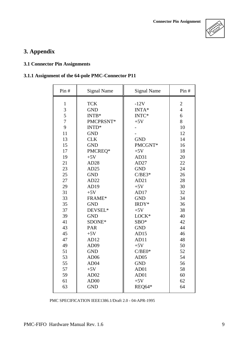

### **3. Appendix**

### **3.1 Connector Pin Assignments**

### **3.1.1 Assignment of the 64-pole PMC-Connector P11**

| Pin #          | <b>Signal Name</b> | <b>Signal Name</b> | Pin#           |
|----------------|--------------------|--------------------|----------------|
| $\mathbf{1}$   | <b>TCK</b>         | $-12V$             | $\overline{c}$ |
| 3              | <b>GND</b>         | INTA*              | $\overline{4}$ |
| 5              | INTB*              | INTC*              | 6              |
| $\overline{7}$ | PMCPRSNT*          | $+5V$              | 8              |
| 9              | $INTD*$            |                    | 10             |
| 11             | <b>GND</b>         |                    | 12             |
| 13             | <b>CLK</b>         | <b>GND</b>         | 14             |
| 15             | <b>GND</b>         | PMCGNT*            | 16             |
| 17             | PMCREQ*            | $+5V$              | 18             |
| 19             | $+5V$              | AD31               | 20             |
| 21             | AD <sub>28</sub>   | AD27               | 22             |
| 23             | AD25               | <b>GND</b>         | 24             |
| 25             | <b>GND</b>         | $C/BE3*$           | 26             |
| 27             | AD22               | AD21               | 28             |
| 29             | AD19               | $+5V$              | 30             |
| 31             | $+5V$              | AD17               | 32             |
| 33             | FRAME*             | <b>GND</b>         | 34             |
| 35             | <b>GND</b>         | IRDY*              | 36             |
| 37             | DEVSEL*            | $+5V$              | 38             |
| 39             | <b>GND</b>         | LOCK*              | 40             |
| 41             | SDONE*             | SBO*               | 42             |
| 43             | PAR                | <b>GND</b>         | 44             |
| 45             | $+5V$              | AD15               | 46             |
| 47             | AD12               | AD11               | 48             |
| 49             | AD <sub>09</sub>   | $+5V$              | 50             |
| 51             | <b>GND</b>         | $C/BE0*$           | 52             |
| 53             | AD <sub>06</sub>   | AD05               | 54             |
| 55             | AD <sub>04</sub>   | <b>GND</b>         | 56             |
| 57             | $+5V$              | AD01               | 58             |
| 59             | AD <sub>02</sub>   | AD01               | 60             |
| 61             | AD00               | $+5V$              | 62             |
| 63             | <b>GND</b>         | REQ64*             | 64             |

PMC SPECIFICATION IEEE1386.1/Draft 2.0 - 04-APR-1995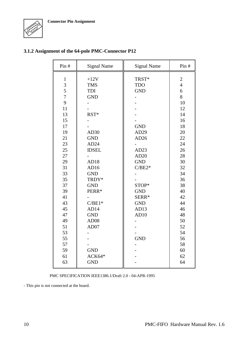

| Pin #          | <b>Signal Name</b> | <b>Signal Name</b> | Pin #          |
|----------------|--------------------|--------------------|----------------|
| $\mathbf{1}$   | $+12V$             | TRST*              | $\mathbf{2}$   |
| $\overline{3}$ | <b>TMS</b>         | <b>TDO</b>         | $\overline{4}$ |
| 5              | TDI                | <b>GND</b>         | 6              |
| $\overline{7}$ | <b>GND</b>         |                    | 8              |
| 9              |                    |                    | 10             |
| 11             |                    |                    | 12             |
| 13             | RST*               |                    | 14             |
| 15             |                    |                    | 16             |
| 17             |                    | <b>GND</b>         | 18             |
| 19             | AD <sub>30</sub>   | AD29               | 20             |
| 21             | <b>GND</b>         | AD26               | 22             |
| 23             | AD24               |                    | 24             |
| 25             | <b>IDSEL</b>       | AD23               | 26             |
| 27             |                    | AD20               | 28             |
| 29             | AD18               | <b>GND</b>         | 30             |
| 31             | AD16               | $C/BE2*$           | 32             |
| 33             | <b>GND</b>         |                    | 34             |
| 35             | TRDY*              |                    | 36             |
| 37             | <b>GND</b>         | STOP*              | 38             |
| 39             | PERR*              | <b>GND</b>         | 40             |
| 41             |                    | SERR*              | 42             |
| 43             | $C/BE1*$           | <b>GND</b>         | 44             |
| 45             | AD14               | AD13               | 46             |
| 47             | <b>GND</b>         | AD10               | 48             |
| 49             | <b>AD08</b>        |                    | 50             |
| 51             | AD07               |                    | 52             |
| 53             |                    |                    | 54             |
| 55             |                    | <b>GND</b>         | 56             |
| 57             |                    |                    | 58             |
| 59             | <b>GND</b>         |                    | 60             |
| 61             | ACK64*             |                    | 62             |
| 63             | <b>GND</b>         |                    | 64             |

### **3.1.2 Assignment of the 64-pole PMC-Connector P12**

PMC SPECIFICATION IEEE1386.1/Draft 2.0 - 04-APR-1995

- This pin is not connected at the board.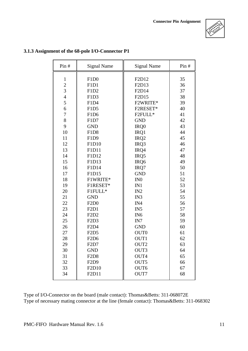

| Pin #          | <b>Signal Name</b>            | <b>Signal Name</b> | Pin# |
|----------------|-------------------------------|--------------------|------|
| $\mathbf{1}$   | F1D <sub>0</sub>              | F2D12              | 35   |
| $\overline{c}$ | F1D1                          | F2D13              | 36   |
| $\overline{3}$ | F1D <sub>2</sub>              | F2D14              | 37   |
| $\overline{4}$ | F1D3                          | F2D15              | 38   |
| 5              | F1D4                          | F2WRITE*           | 39   |
| 6              | F1D5                          | F2RESET*           | 40   |
| $\overline{7}$ | F1D <sub>6</sub>              | F2FULL*            | 41   |
| 8              | F1D7                          | <b>GND</b>         | 42   |
| 9              | <b>GND</b>                    | IRQ0               | 43   |
| 10             | F1D <sub>8</sub>              | IRQ1               | 44   |
| 11             | F1D9                          | IRQ <sub>2</sub>   | 45   |
| 12             | F1D10                         | IRQ3               | 46   |
| 13             | F1D11                         | IRQ4               | 47   |
| 14             | F1D12                         | IRQ5               | 48   |
| 15             | F1D13                         | IRQ6               | 49   |
| 16             | F1D14                         | IRQ7               | 50   |
| 17             | F1D15                         | <b>GND</b>         | 51   |
| 18             | F1WRITE*                      | IN <sub>0</sub>    | 52   |
| 19             | F1RESET*                      | IN1                | 53   |
| 20             | F1FULL*                       | IN2                | 54   |
| 21             | <b>GND</b>                    | IN3                | 55   |
| 22             | F <sub>2</sub> D <sub>0</sub> | IN4                | 56   |
| 23             | F <sub>2</sub> D <sub>1</sub> | IN5                | 57   |
| 24             | F <sub>2</sub> D <sub>2</sub> | IN <sub>6</sub>    | 58   |
| 25             | F <sub>2</sub> D <sub>3</sub> | IN7                | 59   |
| 26             | F <sub>2</sub> D <sub>4</sub> | <b>GND</b>         | 60   |
| 27             | F <sub>2</sub> D <sub>5</sub> | OUT <sub>0</sub>   | 61   |
| 28             | F <sub>2</sub> D <sub>6</sub> | OUT1               | 62   |
| 29             | F <sub>2</sub> D <sub>7</sub> | OUT2               | 63   |
| 30             | <b>GND</b>                    | OUT3               | 64   |
| 31             | F <sub>2</sub> D <sub>8</sub> | OUT4               | 65   |
| 32             | F2D9                          | OUT5               | 66   |
| 33             | F2D10                         | OUT6               | 67   |
| 34             | F2D11                         | OUT7               | 68   |

#### **3.1.3 Assignment of the 68-pole I/O-Connector P1**

Type of I/O-Connector on the board (male contact): Thomas&Betts: 311-068072E Type of necessary mating connector at the line (female contact): Thomas&Betts: 311-068302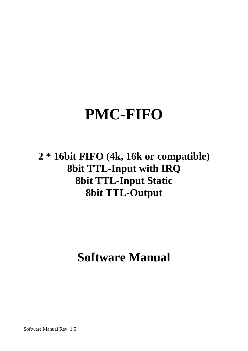# **PMC-FIFO**

## **2 \* 16bit FIFO (4k, 16k or compatible) 8bit TTL-Input with IRQ 8bit TTL-Input Static 8bit TTL-Output**

**Software Manual**

Software Manual Rev. 1.5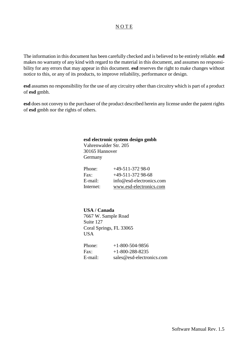#### N O T E

The information in this document has been carefully checked and is believed to be entirely reliable. **esd** makes no warranty of any kind with regard to the material in this document, and assumes no responsibility for any errors that may appear in this document. **esd** reserves the right to make changes without notice to this, or any of its products, to improve reliability, performance or design.

**esd** assumes no responsibility for the use of any circuitry other than circuitry which is part of a product of **esd** gmbh.

**esd** does not convey to the purchaser of the product described herein any license under the patent rights of **esd** gmbh nor the rights of others.

#### **esd electronic system design gmbh**

Vahrenwalder Str. 205 30165 Hannover **Germany** 

| Phone:    | $+49-511-37298-0$        |
|-----------|--------------------------|
| Fax:      | $+49-511-37298-68$       |
| E-mail:   | info@esd-electronics.com |
| Internet: | www.esd-electronics.com  |

**USA / Canada** 7667 W. Sample Road Suite 127 Coral Springs, FL 33065 **USA** 

| Phone:  | $+1-800-504-9856$         |
|---------|---------------------------|
| Fax:    | $+1-800-288-8235$         |
| E-mail: | sales@esd-electronics.com |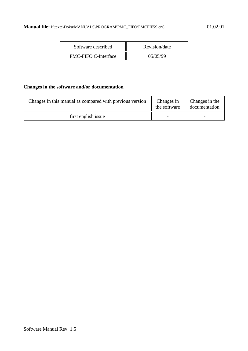| Software described          | Revision/date |
|-----------------------------|---------------|
| <b>PMC-FIFO C-Interface</b> | 05/05/99      |

### **Changes in the software and/or documentation**

| Changes in this manual as compared with previous version | Changes in<br>the software | Changes in the<br>documentation |
|----------------------------------------------------------|----------------------------|---------------------------------|
| first english issue                                      |                            | $\overline{\phantom{0}}$        |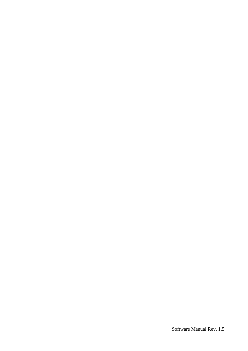Software Manual Rev. 1.5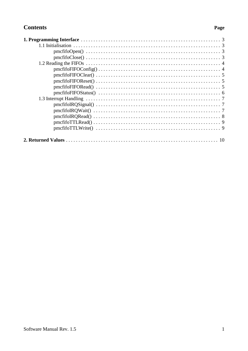### **Contents**

### Page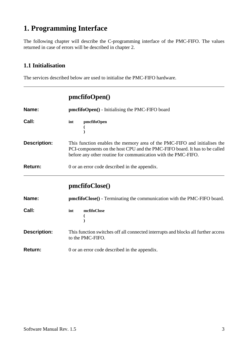## **1. Programming Interface**

The following chapter will describe the C-programming interface of the PMC-FIFO. The values returned in case of errors will be described in chapter 2.

### **1.1 Initialisation**

The services described below are used to initialise the PMC-FIFO hardware.

|                     | $pmc$ fifoOpen()                                                                                                                                                                                                         |
|---------------------|--------------------------------------------------------------------------------------------------------------------------------------------------------------------------------------------------------------------------|
| Name:               | <b>pmcfifoOpen</b> () - Initialising the PMC-FIFO board                                                                                                                                                                  |
| Call:               | pmcfifoOpen<br>int                                                                                                                                                                                                       |
| <b>Description:</b> | This function enables the memory area of the PMC-FIFO and initialises the<br>PCI-components on the host CPU and the PMC-FIFO board. It has to be called<br>before any other routine for communication with the PMC-FIFO. |
| Return:             | 0 or an error code described in the appendix.                                                                                                                                                                            |
|                     | pmcffoClose()                                                                                                                                                                                                            |
| Name:               | <b>pmcfifoClose</b> () - Terminating the communication with the PMC-FIFO board.                                                                                                                                          |
| Call:               | mcfifoClose<br>int                                                                                                                                                                                                       |
| <b>Description:</b> | This function switches off all connected interrupts and blocks all further access<br>to the PMC-FIFO.                                                                                                                    |
| <b>Return:</b>      | 0 or an error code described in the appendix.                                                                                                                                                                            |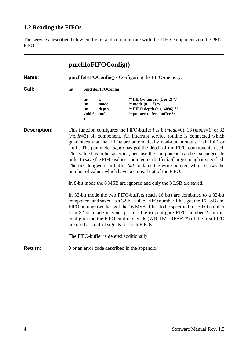## **1.2 Reading the FIFOs**

The services described below configure and communicate with the FIFO-components on the PMC-FIFO.

|                     | $pmc$ fifo $FIFOConfig()$<br><b>pmcfifoFIFOConfig()</b> - Configuring the FIFO-memory.                                                                                                                                                                                                                                                                                                                                                                                                                                                                                                                                                                                 |                                                   |                                                                                                                           |  |  |
|---------------------|------------------------------------------------------------------------------------------------------------------------------------------------------------------------------------------------------------------------------------------------------------------------------------------------------------------------------------------------------------------------------------------------------------------------------------------------------------------------------------------------------------------------------------------------------------------------------------------------------------------------------------------------------------------------|---------------------------------------------------|---------------------------------------------------------------------------------------------------------------------------|--|--|
| Name:               |                                                                                                                                                                                                                                                                                                                                                                                                                                                                                                                                                                                                                                                                        |                                                   |                                                                                                                           |  |  |
| Call:               | int<br>int<br>int<br>int<br>void *<br>$\mathcal{E}$                                                                                                                                                                                                                                                                                                                                                                                                                                                                                                                                                                                                                    | pmcfifoFIFOConfig<br>i,<br>mode,<br>depth,<br>buf | /* FIFO-number $(1 or 2)$ */<br>/* mode $(0 \ldots 2)$ */<br>/* FIFO depth (e.g. 4096) */<br>/* pointer to free buffer */ |  |  |
| <b>Description:</b> | This function configures the FIFO-buffer <i>i</i> as 8 ( <i>mode</i> =0), 16 ( <i>mode</i> =1) or 32<br>$(mode=2)$ bit component. An interrupt service routine is connected which<br>guarantees that the FIFOs are automatically read-out in status 'half full' or<br>'full'. The parameter <i>depth</i> has got the depth of the FIFO-components used.<br>This value has to be specified, because the components can be exchanged. In<br>order to save the FIFO values a pointer to a buffer buf large enough is specified.<br>The first longword in buffer buf contains the write pointer, which shows the<br>number of values which have been read out of the FIFO. |                                                   |                                                                                                                           |  |  |
|                     | In 8-bit mode the 8 MSB are ignored and only the 8 LSB are saved.<br>In 32-bit mode the two FIFO-buffers (each 16 bit) are combined to a 32-bit<br>component and saved as a 32-bit value. FIFO number 1 has got the 16 LSB and<br>FIFO number two has got the 16 MSB. 1 has to be specified for FIFO number<br><i>i</i> . In 32-bit mode it is not permissible to configure FIFO number 2. In this<br>configuration the FIFO control signals (WRITE*, RESET*) of the first FIFO<br>are used as control signals for both FIFOs.                                                                                                                                         |                                                   |                                                                                                                           |  |  |
| <b>Return:</b>      |                                                                                                                                                                                                                                                                                                                                                                                                                                                                                                                                                                                                                                                                        | The FIFO-buffer is deleted additionally.          | 0 or an error code described in the appendix.                                                                             |  |  |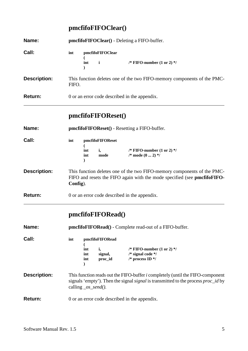## **pmcfifoFIFOClear()**

| Name:               |                        | pmcfifoFIFOClear() - Deleting a FIFO-buffer. |                          |                                                                                                                                                                                          |
|---------------------|------------------------|----------------------------------------------|--------------------------|------------------------------------------------------------------------------------------------------------------------------------------------------------------------------------------|
| Call:               | int                    | pmcfifoFIFOClear                             |                          |                                                                                                                                                                                          |
|                     |                        | int                                          | i                        | /* FIFO-number $(1 or 2)$ */                                                                                                                                                             |
| <b>Description:</b> | FIFO.                  |                                              |                          | This function deletes one of the two FIFO-memory components of the PMC-                                                                                                                  |
| <b>Return:</b>      |                        |                                              |                          | 0 or an error code described in the appendix.                                                                                                                                            |
|                     |                        |                                              | pmcffoFIFOReset()        |                                                                                                                                                                                          |
| Name:               |                        |                                              |                          | <b>pmcfifoFIFOReset()</b> - Resetting a FIFO-buffer.                                                                                                                                     |
| Call:               | int                    |                                              | pmcfifoFIFOReset         |                                                                                                                                                                                          |
|                     |                        | int<br>int<br>$\mathcal{E}$                  | i,<br>mode               | /* FIFO-number $(1 or 2)$ */<br>/* mode $(02)$ */                                                                                                                                        |
| <b>Description:</b> | Config).               |                                              |                          | This function deletes one of the two FIFO-memory components of the PMC-<br>FIFO and resets the FIFO again with the mode specified (see pmcfifoFIFO-                                      |
| <b>Return:</b>      |                        |                                              |                          | 0 or an error code described in the appendix.                                                                                                                                            |
|                     |                        |                                              | pmcfifoFIFORead()        |                                                                                                                                                                                          |
| Name:               |                        |                                              |                          | pmcfifoFIFORead() - Complete read-out of a FIFO-buffer.                                                                                                                                  |
| Call:               | pmcfifoFIFORead<br>int |                                              |                          |                                                                                                                                                                                          |
|                     |                        | int<br>int<br>int<br>$\mathcal{E}$           | i,<br>signal,<br>proc_id | /* FIFO-number $(1 or 2)$ */<br>$/*$ signal code $*/$<br>/* process ID $*/$                                                                                                              |
| <b>Description:</b> |                        | calling $_{OS\_send(.)$ .                    |                          | This function reads out the FIFO-buffer <i>i</i> completely (until the FIFO-component<br>signals 'empty'). Then the signal <i>signal</i> is transmitted to the process <i>proc_id</i> by |
| <b>Return:</b>      |                        |                                              |                          | 0 or an error code described in the appendix.                                                                                                                                            |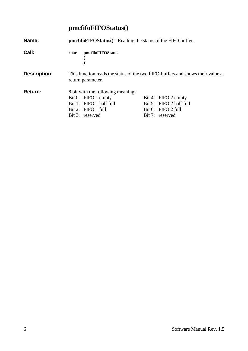## **pmcfifoFIFOStatus()**

| Name:               | <b>pmcfifoFIFOStatus</b> () - Reading the status of the FIFO-buffer.                                                         |  |                                                                                         |  |
|---------------------|------------------------------------------------------------------------------------------------------------------------------|--|-----------------------------------------------------------------------------------------|--|
| Call:               | pmcfifoFIFOStatus<br>char                                                                                                    |  |                                                                                         |  |
| <b>Description:</b> | This function reads the status of the two FIFO-buffers and shows their value as<br>return parameter.                         |  |                                                                                         |  |
| Return:             | 8 bit with the following meaning:<br>Bit 0: FIFO 1 empty<br>Bit 1: FIFO 1 half full<br>Bit 2: FIFO 1 full<br>Bit 3: reserved |  | Bit 4: FIFO 2 empty<br>Bit 5: FIFO 2 half full<br>Bit 6: FIFO 2 full<br>Bit 7: reserved |  |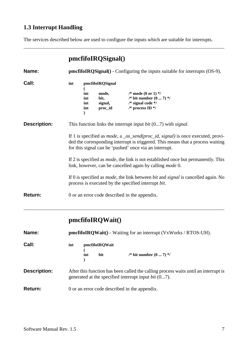### **1.3 Interrupt Handling**

The services described below are used to configure the inputs which are suitable for interrupts.

## **pmcfifoIRQSignal()**

| Name:               | <b>pmcfifoIRQSignal</b> () - Configuring the inputs suitable for interrupts (OS-9).                                                                          |                                                                                                                                                                                                                                                                                                                                     |                                                         |                                                                                                                                                                |  |
|---------------------|--------------------------------------------------------------------------------------------------------------------------------------------------------------|-------------------------------------------------------------------------------------------------------------------------------------------------------------------------------------------------------------------------------------------------------------------------------------------------------------------------------------|---------------------------------------------------------|----------------------------------------------------------------------------------------------------------------------------------------------------------------|--|
| Call:               | int                                                                                                                                                          | int<br>int<br>int<br>int<br>$\mathcal{E}$                                                                                                                                                                                                                                                                                           | pmcfifoIRQSignal<br>mode,<br>bit,<br>signal,<br>proc_id | /* mode (0 or 1) $*/$<br>/* bit number $(07)$ */<br>$/*$ signal code $*/$<br>/* process ID $*$ /                                                               |  |
| <b>Description:</b> |                                                                                                                                                              | This function links the interrupt input bit $(07)$ with signal.<br>If 1 is specified as <i>mode</i> , a $\cos$ <i>send</i> ( <i>proc_id</i> , <i>signal</i> ) is once executed, provi-<br>ded the corresponding interrupt is triggered. This means that a process waiting<br>for this signal can be 'pushed' once via an interrupt. |                                                         |                                                                                                                                                                |  |
|                     | If 2 is specified as <i>mode</i> , the link is not established once but permanently. This<br>link, however, can be cancelled again by calling <i>mode</i> 0. |                                                                                                                                                                                                                                                                                                                                     |                                                         |                                                                                                                                                                |  |
|                     |                                                                                                                                                              |                                                                                                                                                                                                                                                                                                                                     |                                                         | If 0 is specified as <i>mode</i> , the link between <i>bit</i> and <i>signal</i> is cancelled again. No<br>process is executed by the specified interrupt bit. |  |
| <b>Return:</b>      |                                                                                                                                                              |                                                                                                                                                                                                                                                                                                                                     |                                                         | 0 or an error code described in the appendix.                                                                                                                  |  |

## **pmcfifoIRQWait()**

| Name:               | <b>pmcfifolRQWait()</b> - Waiting for an interrupt $(VxWorks / RTOS-UH)$ .                                                                     |  |  |
|---------------------|------------------------------------------------------------------------------------------------------------------------------------------------|--|--|
| Call:               | pmcfifoIRQWait<br>int<br>/* bit number $(07)$ */<br>bit<br>int                                                                                 |  |  |
| <b>Description:</b> | After this function has been called the calling process waits until an interrupt is<br>generated at the specified interrupt input bit $(07)$ . |  |  |
| <b>Return:</b>      | 0 or an error code described in the appendix.                                                                                                  |  |  |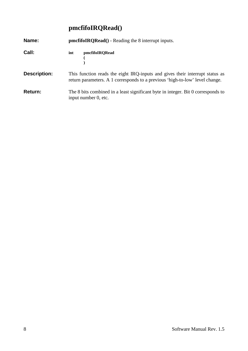## **pmcfifoIRQRead()**

| Name:               | $pmcffolRQRead()$ - Reading the 8 interrupt inputs.                                                                                                          |
|---------------------|--------------------------------------------------------------------------------------------------------------------------------------------------------------|
| Call:               | pmcfifoIRQRead<br>int                                                                                                                                        |
| <b>Description:</b> | This function reads the eight IRQ-inputs and gives their interrupt status as<br>return parameters. A 1 corresponds to a previous 'high-to-low' level change. |
| <b>Return:</b>      | The 8 bits combined in a least significant byte in integer. Bit 0 corresponds to<br>input number 0, etc.                                                     |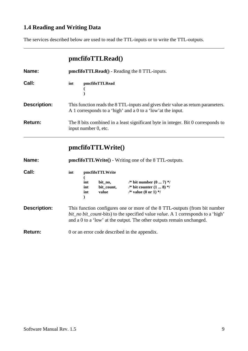### **1.4 Reading and Writing Data**

The services described below are used to read the TTL-inputs or to write the TTL-outputs.

|                     | pmcfifoTTLRead()                                                                                                                                                                                                                        |  |
|---------------------|-----------------------------------------------------------------------------------------------------------------------------------------------------------------------------------------------------------------------------------------|--|
| Name:               | <b>pmcfifoTTLRead</b> () - Reading the 8 TTL-inputs.                                                                                                                                                                                    |  |
| Call:               | pmcfifoTTLRead<br>int<br>$\lambda$                                                                                                                                                                                                      |  |
| <b>Description:</b> | This function reads the 8 TTL-inputs and gives their value as return parameters.<br>A 1 corresponds to a 'high' and a 0 to a 'low' at the input.                                                                                        |  |
| <b>Return:</b>      | The 8 bits combined in a least significant byte in integer. Bit 0 corresponds to<br>input number 0, etc.                                                                                                                                |  |
|                     | pmcffoTTLWrite()                                                                                                                                                                                                                        |  |
| Name:               | <b>pmcfifoTTLWrite</b> () - Writing one of the 8 TTL-outputs.                                                                                                                                                                           |  |
| Call:               | pmcfifoTTLWrite<br>int<br>/* bit number $(07)$ */<br>int<br>bit_no,<br>bit_count,<br>/* bit counter $(1  8)$ */<br>int                                                                                                                  |  |
|                     | /* value (0 or 1) */<br>value<br>int                                                                                                                                                                                                    |  |
| <b>Description:</b> | This function configures one or more of the 8 TTL-outputs (from bit number<br>bit_no bit_count-bits) to the specified value value. A 1 corresponds to a 'high'<br>and a 0 to a 'low' at the output. The other outputs remain unchanged. |  |
| <b>Return:</b>      | 0 or an error code described in the appendix.                                                                                                                                                                                           |  |